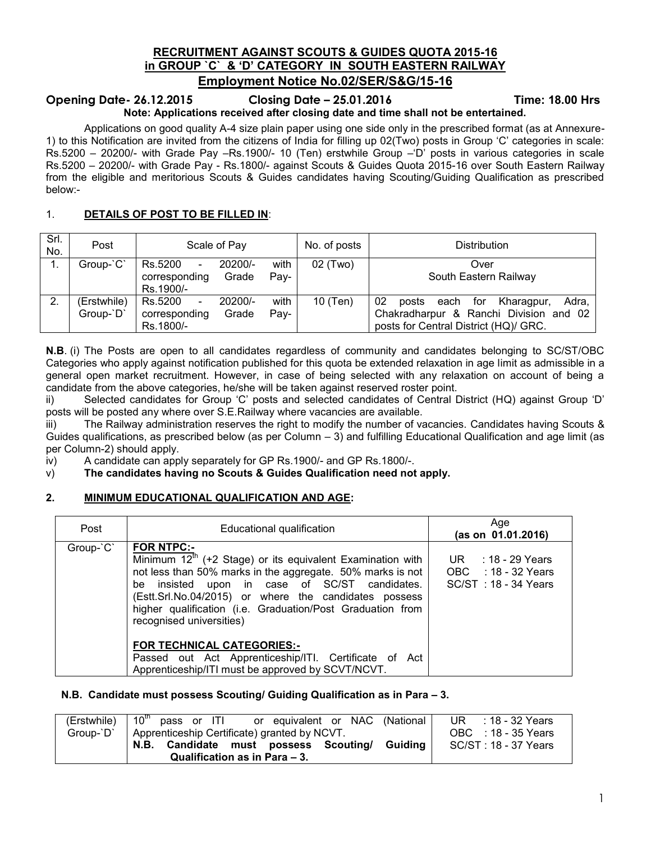# **RECRUITMENT AGAINST SCOUTS & GUIDES QUOTA 2015-16 in GROUP `C` & 'D' CATEGORY IN SOUTH EASTERN RAILWAY Employment Notice No.02/SER/S&G/15-16**

# **Opening Date- 26.12.2015 Closing Date – 25.01.2016 Time: 18.00 Hrs**

# **Note: Applications received after closing date and time shall not be entertained.**

Applications on good quality A-4 size plain paper using one side only in the prescribed format (as at Annexure-1) to this Notification are invited from the citizens of India for filling up 02(Two) posts in Group 'C' categories in scale: Rs.5200 – 20200/- with Grade Pay –Rs.1900/- 10 (Ten) erstwhile Group –'D' posts in various categories in scale Rs.5200 – 20200/- with Grade Pay - Rs.1800/- against Scouts & Guides Quota 2015-16 over South Eastern Railway from the eligible and meritorious Scouts & Guides candidates having Scouting/Guiding Qualification as prescribed below:-

# 1. **DETAILS OF POST TO BE FILLED IN**:

| Srl.<br>No. | Post        | Scale of Pay                                   |        | No. of posts | <b>Distribution</b>                               |  |  |
|-------------|-------------|------------------------------------------------|--------|--------------|---------------------------------------------------|--|--|
|             | Group-'C'   | Rs.5200<br>20200/-<br>$\overline{\phantom{a}}$ | with   | 02 (Two)     | Over                                              |  |  |
|             |             | Grade<br>corresponding                         | Pav-   |              | South Eastern Railway                             |  |  |
|             |             | Rs.1900/-                                      |        |              |                                                   |  |  |
| 2.          | (Erstwhile) | Rs.5200<br>20200/-                             | with   | 10 (Ten)     | 02<br>Adra,<br>Kharagpur,<br>posts<br>for<br>each |  |  |
|             | Group-'D'   | Grade<br>corresponding                         | $Pay-$ |              | Chakradharpur & Ranchi Division and 02            |  |  |
|             |             | Rs.1800/-                                      |        |              | posts for Central District (HQ)/ GRC.             |  |  |

**N.B**. (i) The Posts are open to all candidates regardless of community and candidates belonging to SC/ST/OBC Categories who apply against notification published for this quota be extended relaxation in age limit as admissible in a general open market recruitment. However, in case of being selected with any relaxation on account of being a candidate from the above categories, he/she will be taken against reserved roster point.

ii) Selected candidates for Group 'C' posts and selected candidates of Central District (HQ) against Group 'D' posts will be posted any where over S.E.Railway where vacancies are available.

iii) The Railway administration reserves the right to modify the number of vacancies. Candidates having Scouts & Guides qualifications, as prescribed below (as per Column – 3) and fulfilling Educational Qualification and age limit (as per Column-2) should apply.

iv) A candidate can apply separately for GP Rs.1900/- and GP Rs.1800/-.

v) **The candidates having no Scouts & Guides Qualification need not apply.**

# **2. MINIMUM EDUCATIONAL QUALIFICATION AND AGE:**

| Post      | Educational qualification                                                                                                                                                                                                                                                                                                                                                                                                                                   | Age<br>(as on 01.01.2016)                                           |
|-----------|-------------------------------------------------------------------------------------------------------------------------------------------------------------------------------------------------------------------------------------------------------------------------------------------------------------------------------------------------------------------------------------------------------------------------------------------------------------|---------------------------------------------------------------------|
| Group-'C' | <b>FOR NTPC:-</b><br>Minimum 12 <sup>th</sup> (+2 Stage) or its equivalent Examination with<br>not less than 50% marks in the aggregate. 50% marks is not<br>be insisted upon in case of SC/ST candidates.<br>(Estt.Srl.No.04/2015) or where the candidates possess<br>higher qualification (i.e. Graduation/Post Graduation from<br>recognised universities)<br><b>FOR TECHNICAL CATEGORIES:-</b><br>Passed out Act Apprenticeship/ITI. Certificate of Act | UR $: 18 - 29$ Years<br>OBC : 18 - 32 Years<br>SC/ST: 18 - 34 Years |
|           | Apprenticeship/ITI must be approved by SCVT/NCVT.                                                                                                                                                                                                                                                                                                                                                                                                           |                                                                     |

#### **N.B. Candidate must possess Scouting/ Guiding Qualification as in Para – 3.**

| $\overline{(\text{Erstwhile})}$ 10 <sup>th</sup> pass or ITI or equivalent or NAC (National | UR : $18 - 32$ Years |
|---------------------------------------------------------------------------------------------|----------------------|
| Group-`D`   Apprenticeship Certificate) granted by NCVT.                                    | OBC : 18 - 35 Years  |
| N.B. Candidate must possess Scouting/ Guiding                                               | SC/ST: 18 - 37 Years |
| Qualification as in Para - 3.                                                               |                      |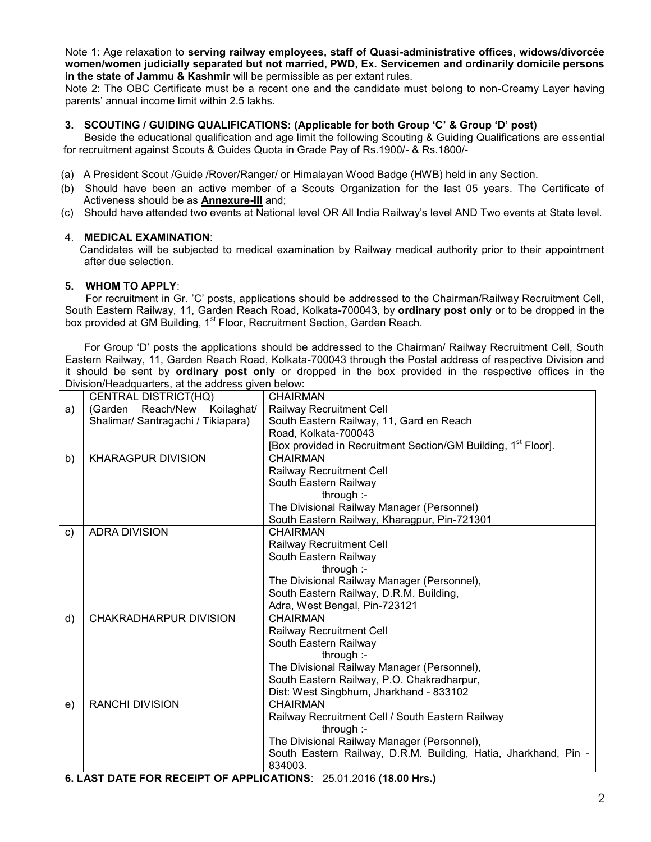Note 1: Age relaxation to **serving railway employees, staff of Quasi-administrative offices, widows/divorcée women/women judicially separated but not married, PWD, Ex. Servicemen and ordinarily domicile persons in the state of Jammu & Kashmir** will be permissible as per extant rules.

Note 2: The OBC Certificate must be a recent one and the candidate must belong to non-Creamy Layer having parents' annual income limit within 2.5 lakhs.

#### **3. SCOUTING / GUIDING QUALIFICATIONS: (Applicable for both Group 'C' & Group 'D' post)**

 Beside the educational qualification and age limit the following Scouting & Guiding Qualifications are essential for recruitment against Scouts & Guides Quota in Grade Pay of Rs.1900/- & Rs.1800/-

- (a) A President Scout /Guide /Rover/Ranger/ or Himalayan Wood Badge (HWB) held in any Section.
- (b) Should have been an active member of a Scouts Organization for the last 05 years. The Certificate of Activeness should be as **Annexure-III** and;
- (c) Should have attended two events at National level OR All India Railway's level AND Two events at State level.

#### 4. **MEDICAL EXAMINATION**:

 Candidates will be subjected to medical examination by Railway medical authority prior to their appointment after due selection.

#### **5. WHOM TO APPLY**:

 For recruitment in Gr. 'C' posts, applications should be addressed to the Chairman/Railway Recruitment Cell, South Eastern Railway, 11, Garden Reach Road, Kolkata-700043, by **ordinary post only** or to be dropped in the box provided at GM Building, 1<sup>st</sup> Floor, Recruitment Section, Garden Reach.

For Group 'D' posts the applications should be addressed to the Chairman/ Railway Recruitment Cell, South Eastern Railway, 11, Garden Reach Road, Kolkata-700043 through the Postal address of respective Division and it should be sent by **ordinary post only** or dropped in the box provided in the respective offices in the Division/Headquarters, at the address given below:

|               | Divisioni readquarters, at the address given below.                       |                                                                           |
|---------------|---------------------------------------------------------------------------|---------------------------------------------------------------------------|
|               | CENTRAL DISTRICT(HQ)                                                      | <b>CHAIRMAN</b>                                                           |
| a)            | (Garden Reach/New Koilaghat/                                              | Railway Recruitment Cell                                                  |
|               | Shalimar/ Santragachi / Tikiapara)                                        | South Eastern Railway, 11, Gard en Reach                                  |
|               |                                                                           | Road, Kolkata-700043                                                      |
|               |                                                                           | [Box provided in Recruitment Section/GM Building, 1 <sup>st</sup> Floor]. |
| b)            | <b>KHARAGPUR DIVISION</b>                                                 | <b>CHAIRMAN</b>                                                           |
|               |                                                                           | Railway Recruitment Cell                                                  |
|               |                                                                           | South Eastern Railway                                                     |
|               |                                                                           | through :-                                                                |
|               |                                                                           | The Divisional Railway Manager (Personnel)                                |
|               |                                                                           | South Eastern Railway, Kharagpur, Pin-721301                              |
| $\mathsf{c})$ | <b>ADRA DIVISION</b>                                                      | <b>CHAIRMAN</b>                                                           |
|               |                                                                           | Railway Recruitment Cell                                                  |
|               |                                                                           | South Eastern Railway                                                     |
|               |                                                                           | through :-                                                                |
|               |                                                                           | The Divisional Railway Manager (Personnel),                               |
|               |                                                                           | South Eastern Railway, D.R.M. Building,                                   |
|               |                                                                           | Adra, West Bengal, Pin-723121                                             |
| d)            | CHAKRADHARPUR DIVISION                                                    | <b>CHAIRMAN</b>                                                           |
|               |                                                                           | <b>Railway Recruitment Cell</b>                                           |
|               |                                                                           | South Eastern Railway                                                     |
|               |                                                                           | through :-                                                                |
|               |                                                                           | The Divisional Railway Manager (Personnel),                               |
|               |                                                                           | South Eastern Railway, P.O. Chakradharpur,                                |
|               |                                                                           | Dist: West Singbhum, Jharkhand - 833102                                   |
| e)            | <b>RANCHI DIVISION</b>                                                    | <b>CHAIRMAN</b>                                                           |
|               |                                                                           | Railway Recruitment Cell / South Eastern Railway                          |
|               |                                                                           | through :-                                                                |
|               |                                                                           | The Divisional Railway Manager (Personnel),                               |
|               |                                                                           | South Eastern Railway, D.R.M. Building, Hatia, Jharkhand, Pin -           |
|               |                                                                           | 834003.                                                                   |
|               | <b>G I AST DATE EOD DECEIDT OF ADDI ICATIONS:</b> 25.01.2016 (18.00 Hrs.) |                                                                           |

**6. LAST DATE FOR RECEIPT OF APPLICATIONS**: 25.01.2016 **(18.00 Hrs.)**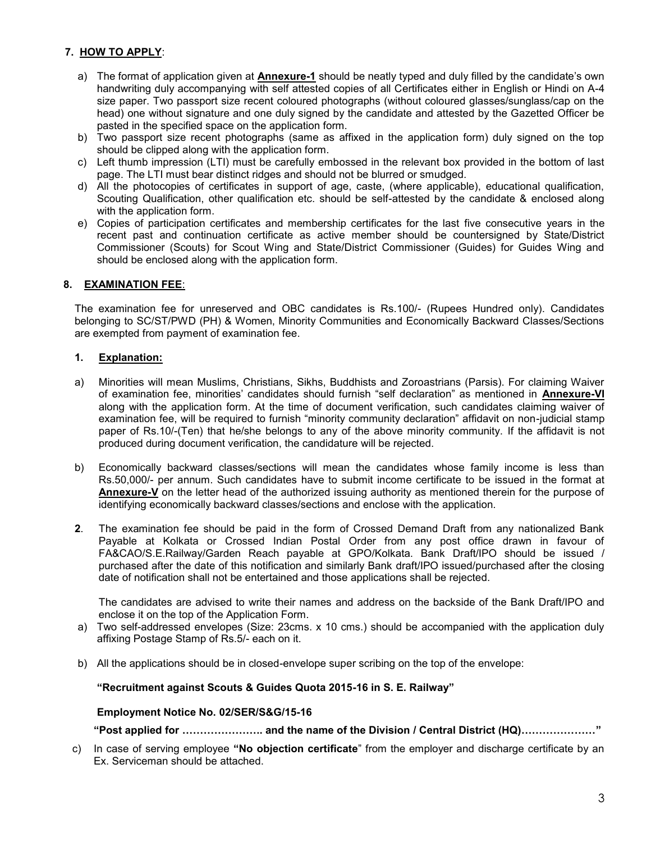# **7. HOW TO APPLY**:

- a) The format of application given at **Annexure-1** should be neatly typed and duly filled by the candidate's own handwriting duly accompanying with self attested copies of all Certificates either in English or Hindi on A-4 size paper. Two passport size recent coloured photographs (without coloured glasses/sunglass/cap on the head) one without signature and one duly signed by the candidate and attested by the Gazetted Officer be pasted in the specified space on the application form.
- b) Two passport size recent photographs (same as affixed in the application form) duly signed on the top should be clipped along with the application form.
- c) Left thumb impression (LTI) must be carefully embossed in the relevant box provided in the bottom of last page. The LTI must bear distinct ridges and should not be blurred or smudged.
- d) All the photocopies of certificates in support of age, caste, (where applicable), educational qualification, Scouting Qualification, other qualification etc. should be self-attested by the candidate & enclosed along with the application form.
- e) Copies of participation certificates and membership certificates for the last five consecutive years in the recent past and continuation certificate as active member should be countersigned by State/District Commissioner (Scouts) for Scout Wing and State/District Commissioner (Guides) for Guides Wing and should be enclosed along with the application form.

# **8. EXAMINATION FEE**:

The examination fee for unreserved and OBC candidates is Rs.100/- (Rupees Hundred only). Candidates belonging to SC/ST/PWD (PH) & Women, Minority Communities and Economically Backward Classes/Sections are exempted from payment of examination fee.

#### **1. Explanation:**

- a) Minorities will mean Muslims, Christians, Sikhs, Buddhists and Zoroastrians (Parsis). For claiming Waiver of examination fee, minorities' candidates should furnish "self declaration" as mentioned in **Annexure-VI** along with the application form. At the time of document verification, such candidates claiming waiver of examination fee, will be required to furnish "minority community declaration" affidavit on non-judicial stamp paper of Rs.10/-(Ten) that he/she belongs to any of the above minority community. If the affidavit is not produced during document verification, the candidature will be rejected.
- b) Economically backward classes/sections will mean the candidates whose family income is less than Rs.50,000/- per annum. Such candidates have to submit income certificate to be issued in the format at **Annexure-V** on the letter head of the authorized issuing authority as mentioned therein for the purpose of identifying economically backward classes/sections and enclose with the application.
- **2**. The examination fee should be paid in the form of Crossed Demand Draft from any nationalized Bank Payable at Kolkata or Crossed Indian Postal Order from any post office drawn in favour of FA&CAO/S.E.Railway/Garden Reach payable at GPO/Kolkata. Bank Draft/IPO should be issued / purchased after the date of this notification and similarly Bank draft/IPO issued/purchased after the closing date of notification shall not be entertained and those applications shall be rejected.

The candidates are advised to write their names and address on the backside of the Bank Draft/IPO and enclose it on the top of the Application Form.

- a) Two self-addressed envelopes (Size: 23cms. x 10 cms.) should be accompanied with the application duly affixing Postage Stamp of Rs.5/- each on it.
- b) All the applications should be in closed-envelope super scribing on the top of the envelope:

#### **"Recruitment against Scouts & Guides Quota 2015-16 in S. E. Railway"**

#### **Employment Notice No. 02/SER/S&G/15-16**

**"Post applied for ………………….. and the name of the Division / Central District (HQ)…………………"**

 c) In case of serving employee **"No objection certificate**" from the employer and discharge certificate by an Ex. Serviceman should be attached.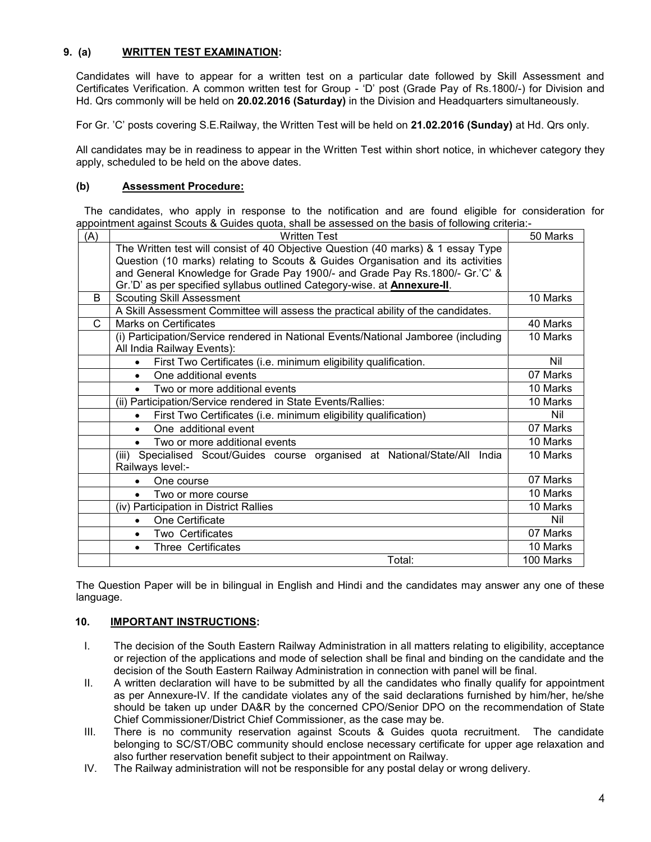# **9. (a) WRITTEN TEST EXAMINATION:**

Candidates will have to appear for a written test on a particular date followed by Skill Assessment and Certificates Verification. A common written test for Group - 'D' post (Grade Pay of Rs.1800/-) for Division and Hd. Qrs commonly will be held on **20.02.2016 (Saturday)** in the Division and Headquarters simultaneously.

For Gr. 'C' posts covering S.E.Railway, the Written Test will be held on **21.02.2016 (Sunday)** at Hd. Qrs only.

All candidates may be in readiness to appear in the Written Test within short notice, in whichever category they apply, scheduled to be held on the above dates.

### **(b) Assessment Procedure:**

The candidates, who apply in response to the notification and are found eligible for consideration for appointment against Scouts & Guides quota, shall be assessed on the basis of following criteria:-

| (A) | <b>Written Test</b>                                                                             | 50 Marks  |
|-----|-------------------------------------------------------------------------------------------------|-----------|
|     | The Written test will consist of 40 Objective Question (40 marks) & 1 essay Type                |           |
|     | Question (10 marks) relating to Scouts & Guides Organisation and its activities                 |           |
|     | and General Knowledge for Grade Pay 1900/- and Grade Pay Rs.1800/- Gr.'C' &                     |           |
|     | Gr.'D' as per specified syllabus outlined Category-wise. at <b>Annexure-II</b> .                |           |
| B   | <b>Scouting Skill Assessment</b>                                                                | 10 Marks  |
|     | A Skill Assessment Committee will assess the practical ability of the candidates.               |           |
| C   | <b>Marks on Certificates</b>                                                                    | 40 Marks  |
|     | (i) Participation/Service rendered in National Events/National Jamboree (including              | 10 Marks  |
|     | All India Railway Events):                                                                      |           |
|     | First Two Certificates (i.e. minimum eligibility qualification.<br>$\bullet$                    | Nil       |
|     | One additional events<br>$\bullet$                                                              | 07 Marks  |
|     | Two or more additional events                                                                   | 10 Marks  |
|     | (ii) Participation/Service rendered in State Events/Rallies:                                    | 10 Marks  |
|     | First Two Certificates (i.e. minimum eligibility qualification)<br>$\bullet$                    | Nil       |
|     | One additional event<br>$\bullet$                                                               | 07 Marks  |
|     | Two or more additional events                                                                   | 10 Marks  |
|     | (iii) Specialised Scout/Guides course organised at National/State/All India<br>Railways level:- | 10 Marks  |
|     | One course                                                                                      | 07 Marks  |
|     | Two or more course                                                                              | 10 Marks  |
|     | (iv) Participation in District Rallies                                                          | 10 Marks  |
|     | One Certificate<br>$\bullet$                                                                    | Nil       |
|     | Two Certificates                                                                                | 07 Marks  |
|     | <b>Three Certificates</b><br>$\bullet$                                                          | 10 Marks  |
|     | Total:                                                                                          | 100 Marks |

The Question Paper will be in bilingual in English and Hindi and the candidates may answer any one of these language.

# **10. IMPORTANT INSTRUCTIONS:**

- I. The decision of the South Eastern Railway Administration in all matters relating to eligibility, acceptance or rejection of the applications and mode of selection shall be final and binding on the candidate and the decision of the South Eastern Railway Administration in connection with panel will be final.
- II. A written declaration will have to be submitted by all the candidates who finally qualify for appointment as per Annexure-IV. If the candidate violates any of the said declarations furnished by him/her, he/she should be taken up under DA&R by the concerned CPO/Senior DPO on the recommendation of State Chief Commissioner/District Chief Commissioner, as the case may be.
- III. There is no community reservation against Scouts & Guides quota recruitment. The candidate belonging to SC/ST/OBC community should enclose necessary certificate for upper age relaxation and also further reservation benefit subject to their appointment on Railway.
- IV. The Railway administration will not be responsible for any postal delay or wrong delivery.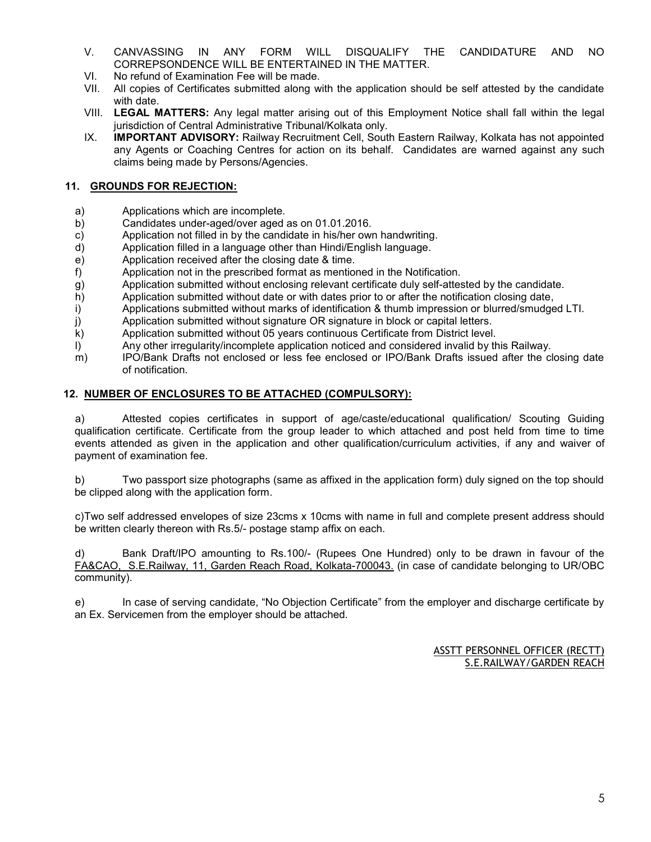- V. CANVASSING IN ANY FORM WILL DISQUALIFY THE CANDIDATURE AND NO CORREPSONDENCE WILL BE ENTERTAINED IN THE MATTER.
- VI. No refund of Examination Fee will be made.
- VII. All copies of Certificates submitted along with the application should be self attested by the candidate with date.
- VIII. **LEGAL MATTERS:** Any legal matter arising out of this Employment Notice shall fall within the legal jurisdiction of Central Administrative Tribunal/Kolkata only.
- IX. **IMPORTANT ADVISORY:** Railway Recruitment Cell, South Eastern Railway, Kolkata has not appointed any Agents or Coaching Centres for action on its behalf. Candidates are warned against any such claims being made by Persons/Agencies.

# **11. GROUNDS FOR REJECTION:**

- a) Applications which are incomplete.
- b) Candidates under-aged/over aged as on 01.01.2016.
- c) Application not filled in by the candidate in his/her own handwriting.
- d) Application filled in a language other than Hindi/English language.
- e) Application received after the closing date & time.
- f) Application not in the prescribed format as mentioned in the Notification.
- g) Application submitted without enclosing relevant certificate duly self-attested by the candidate.
- h) Application submitted without date or with dates prior to or after the notification closing date,
- i) Applications submitted without marks of identification & thumb impression or blurred/smudged LTI.
- j) Application submitted without signature OR signature in block or capital letters.
- k) Application submitted without 05 years continuous Certificate from District level.
- l) Any other irregularity/incomplete application noticed and considered invalid by this Railway.
- m) IPO/Bank Drafts not enclosed or less fee enclosed or IPO/Bank Drafts issued after the closing date of notification.

# **12. NUMBER OF ENCLOSURES TO BE ATTACHED (COMPULSORY):**

a) Attested copies certificates in support of age/caste/educational qualification/ Scouting Guiding qualification certificate. Certificate from the group leader to which attached and post held from time to time events attended as given in the application and other qualification/curriculum activities, if any and waiver of payment of examination fee.

b) Two passport size photographs (same as affixed in the application form) duly signed on the top should be clipped along with the application form.

c)Two self addressed envelopes of size 23cms x 10cms with name in full and complete present address should be written clearly thereon with Rs.5/- postage stamp affix on each.

d) Bank Draft/IPO amounting to Rs.100/- (Rupees One Hundred) only to be drawn in favour of the FA&CAO, S.E.Railway, 11, Garden Reach Road, Kolkata-700043. (in case of candidate belonging to UR/OBC community).

e) In case of serving candidate, "No Objection Certificate" from the employer and discharge certificate by an Ex. Servicemen from the employer should be attached.

> ASSTT PERSONNEL OFFICER (RECTT) S.E.RAILWAY/GARDEN REACH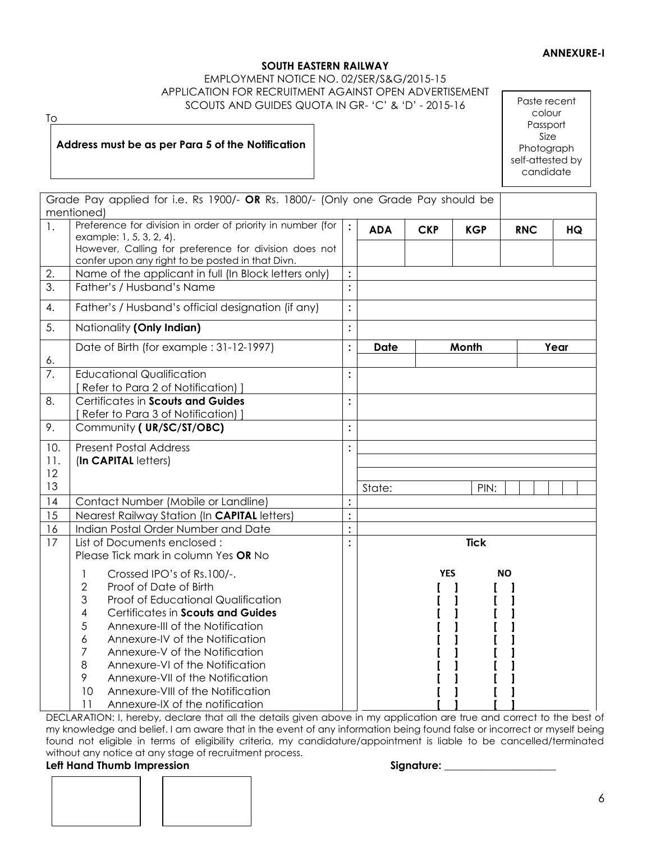# **ANNEXURE-I**

# **SOUTH EASTERN RAILWAY**

#### EMPLOYMENT NOTICE NO. 02/SER/S&G/2015-15 APPLICATION FOR RECRUITMENT AGAINST OPEN ADVERTISEMENT SCOUTS AND GUIDES QUOTA IN GR- 'C' & 'D' - 2015-16

To

# **Address must be as per Para 5 of the Notification**

Paste recent colour Passport Size Photograph self-attested by candidate

|                  | Grade Pay applied for i.e. Rs 1900/- OR Rs. 1800/- (Only one Grade Pay should be<br>mentioned)                                                                                                                                                                                                                                                                                                                                                                         |                |             |            |             |            |      |
|------------------|------------------------------------------------------------------------------------------------------------------------------------------------------------------------------------------------------------------------------------------------------------------------------------------------------------------------------------------------------------------------------------------------------------------------------------------------------------------------|----------------|-------------|------------|-------------|------------|------|
| $\mathbf{1}$ .   | Preference for division in order of priority in number (for<br>example: 1, 5, 3, 2, 4).<br>However, Calling for preference for division does not<br>confer upon any right to be posted in that Divn.                                                                                                                                                                                                                                                                   | $\div$         | <b>ADA</b>  | <b>CKP</b> | <b>KGP</b>  | <b>RNC</b> | HQ   |
| 2.               | Name of the applicant in full (In Block letters only)                                                                                                                                                                                                                                                                                                                                                                                                                  |                |             |            |             |            |      |
| $\overline{3}$ . | Father's / Husband's Name                                                                                                                                                                                                                                                                                                                                                                                                                                              | $\ddot{\cdot}$ |             |            |             |            |      |
| 4.               | Father's / Husband's official designation (if any)                                                                                                                                                                                                                                                                                                                                                                                                                     | $\ddot{\cdot}$ |             |            |             |            |      |
| 5.               | Nationality (Only Indian)                                                                                                                                                                                                                                                                                                                                                                                                                                              | $\ddot{\cdot}$ |             |            |             |            |      |
| 6.               | Date of Birth (for example : 31-12-1997)                                                                                                                                                                                                                                                                                                                                                                                                                               | $\ddot{\cdot}$ | <b>Date</b> |            | Month       |            | Year |
| 7.               | <b>Educational Qualification</b><br>[ Refer to Para 2 of Notification) ]                                                                                                                                                                                                                                                                                                                                                                                               | $\ddot{\cdot}$ |             |            |             |            |      |
| 8.               | Certificates in Scouts and Guides<br>Refer to Para 3 of Notification) ]                                                                                                                                                                                                                                                                                                                                                                                                | $\ddot{\cdot}$ |             |            |             |            |      |
| 9.               | Community (UR/SC/ST/OBC)                                                                                                                                                                                                                                                                                                                                                                                                                                               | $\ddot{\cdot}$ |             |            |             |            |      |
| 10.<br>11.<br>12 | <b>Present Postal Address</b><br>(In CAPITAL letters)                                                                                                                                                                                                                                                                                                                                                                                                                  | $\ddot{\cdot}$ |             |            |             |            |      |
| 13               |                                                                                                                                                                                                                                                                                                                                                                                                                                                                        |                | State:      |            | PIN:        |            |      |
| 14               | Contact Number (Mobile or Landline)                                                                                                                                                                                                                                                                                                                                                                                                                                    | $\ddot{\cdot}$ |             |            |             |            |      |
| 15               | Nearest Railway Station (In CAPITAL letters)                                                                                                                                                                                                                                                                                                                                                                                                                           | $\vdots$       |             |            |             |            |      |
| 16               | Indian Postal Order Number and Date                                                                                                                                                                                                                                                                                                                                                                                                                                    | $\ddot{\cdot}$ |             |            |             |            |      |
| 17               | List of Documents enclosed:<br>Please Tick mark in column Yes OR No                                                                                                                                                                                                                                                                                                                                                                                                    | $\ddot{\cdot}$ |             |            | <b>Tick</b> |            |      |
|                  | Crossed IPO's of Rs.100/-.<br>1<br>$\sqrt{2}$<br>Proof of Date of Birth<br>3<br>Proof of Educational Qualification<br>4<br>Certificates in Scouts and Guides<br>5<br>Annexure-III of the Notification<br>6<br>Annexure-IV of the Notification<br>$\overline{7}$<br>Annexure-V of the Notification<br>8<br>Annexure-VI of the Notification<br>9<br>Annexure-VII of the Notification<br>10<br>Annexure-VIII of the Notification<br>11<br>Annexure-IX of the notification |                |             | <b>YES</b> |             | <b>NO</b>  |      |

DECLARATION: I, hereby, declare that all the details given above in my application are true and correct to the best of my knowledge and belief. I am aware that in the event of any information being found false or incorrect or myself being found not eligible in terms of eligibility criteria, my candidature/appointment is liable to be cancelled/terminated without any notice at any stage of recruitment process.

# Left Hand Thumb Impression **Signature:** Signature: Signature:

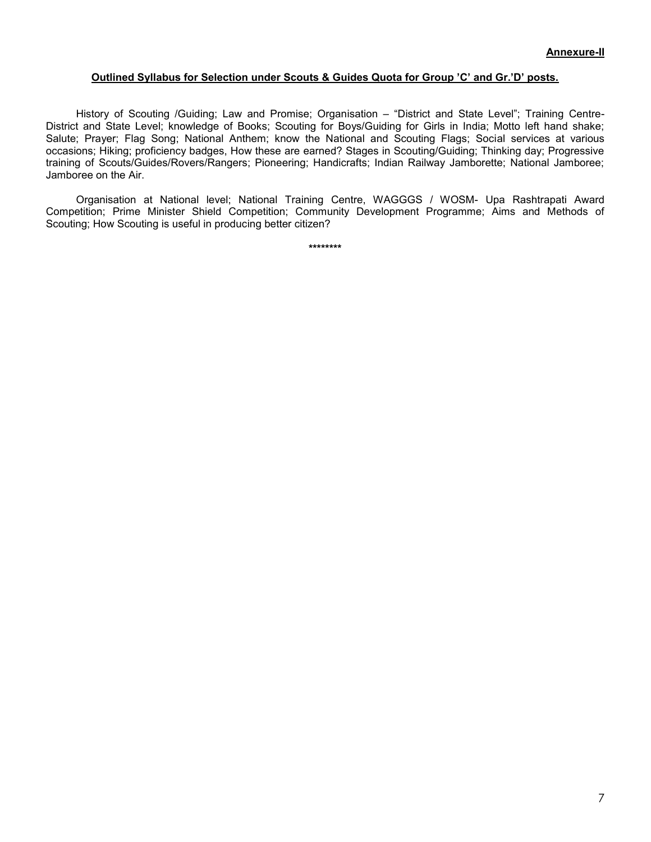#### **Outlined Syllabus for Selection under Scouts & Guides Quota for Group 'C' and Gr.'D' posts.**

History of Scouting /Guiding; Law and Promise; Organisation – "District and State Level"; Training Centre-District and State Level; knowledge of Books; Scouting for Boys/Guiding for Girls in India; Motto left hand shake; Salute; Prayer; Flag Song; National Anthem; know the National and Scouting Flags; Social services at various occasions; Hiking; proficiency badges, How these are earned? Stages in Scouting/Guiding; Thinking day; Progressive training of Scouts/Guides/Rovers/Rangers; Pioneering; Handicrafts; Indian Railway Jamborette; National Jamboree; Jamboree on the Air.

Organisation at National level; National Training Centre, WAGGGS / WOSM- Upa Rashtrapati Award Competition; Prime Minister Shield Competition; Community Development Programme; Aims and Methods of Scouting; How Scouting is useful in producing better citizen?

**\*\*\*\*\*\*\*\***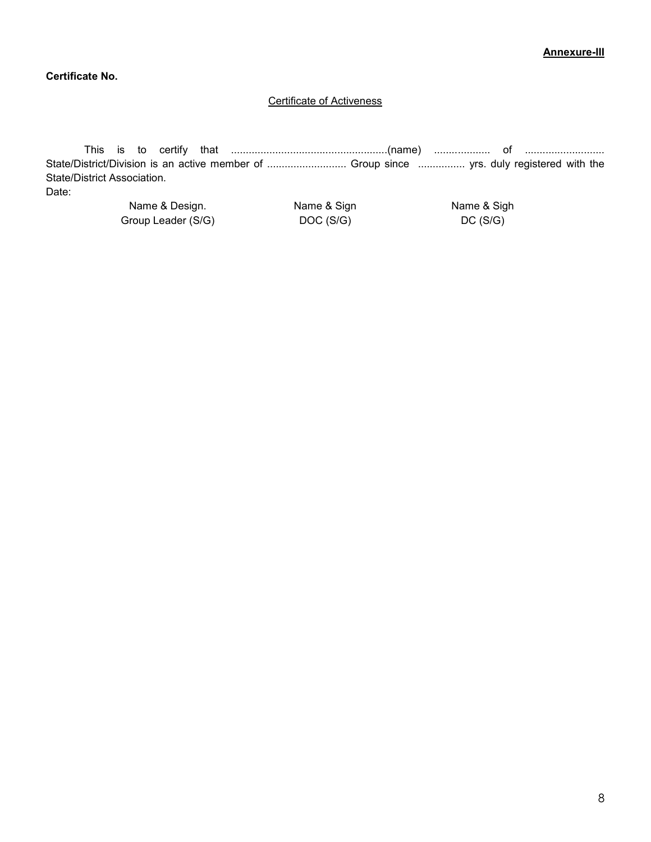# **Certificate No.**

# Certificate of Activeness

This is to certify that .....................................................(name) ................... of ........................... State/District/Division is an active member of ............................... Group since ................... yrs. duly registered with the State/District Association.

Date:

Name & Design. Group Leader (S/G) Name & Sign DOC (S/G)

Name & Sigh DC (S/G)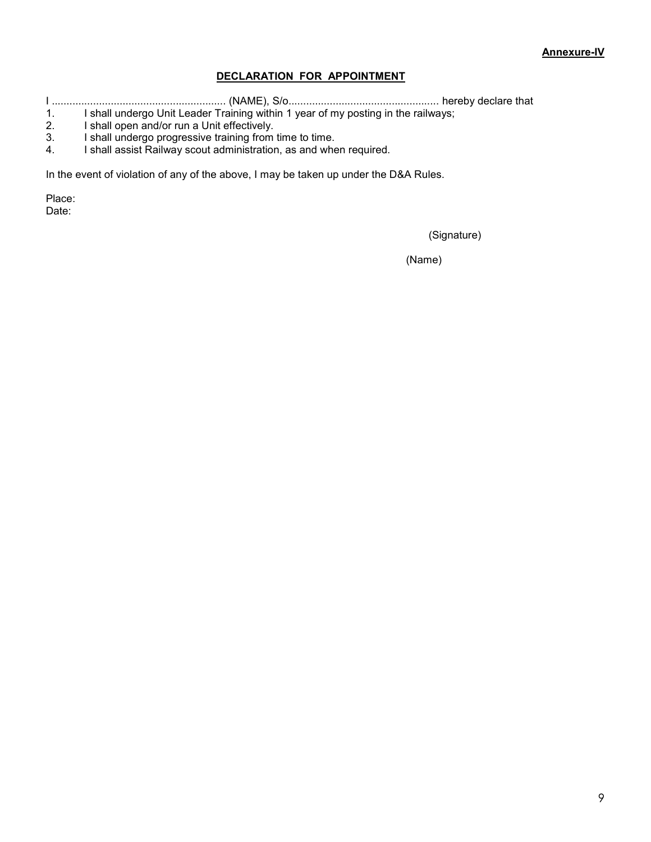# **DECLARATION FOR APPOINTMENT**

I ........................................................... (NAME), S/o................................................... hereby declare that

1. I shall undergo Unit Leader Training within 1 year of my posting in the railways;<br>2. I shall open and/or run a Unit effectively.

- 2. I shall open and/or run a Unit effectively.<br>3. I shall undergo progressive training from
- I shall undergo progressive training from time to time.
- 4. I shall assist Railway scout administration, as and when required.

In the event of violation of any of the above, I may be taken up under the D&A Rules.

Place: Date:

(Signature)

(Name)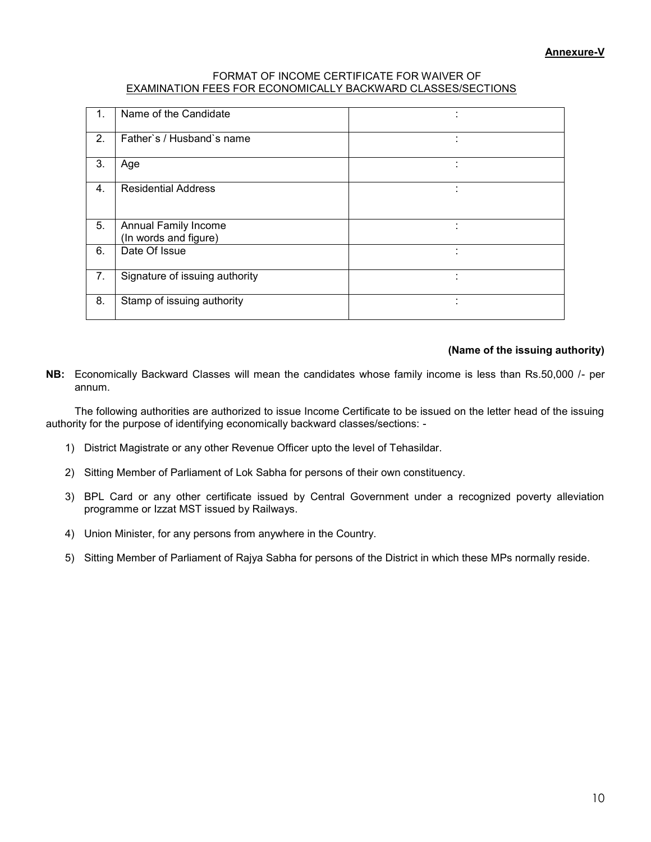#### FORMAT OF INCOME CERTIFICATE FOR WAIVER OF EXAMINATION FEES FOR ECONOMICALLY BACKWARD CLASSES/SECTIONS

| $\mathbf 1$ . | Name of the Candidate                         |  |
|---------------|-----------------------------------------------|--|
| 2.            | Father's / Husband's name                     |  |
| 3.            | Age                                           |  |
| 4.            | <b>Residential Address</b>                    |  |
| 5.            | Annual Family Income<br>(In words and figure) |  |
| 6.            | Date Of Issue                                 |  |
| 7.            | Signature of issuing authority                |  |
| 8.            | Stamp of issuing authority                    |  |

# **(Name of the issuing authority)**

**NB:** Economically Backward Classes will mean the candidates whose family income is less than Rs.50,000 /- per annum.

The following authorities are authorized to issue Income Certificate to be issued on the letter head of the issuing authority for the purpose of identifying economically backward classes/sections: -

- 1) District Magistrate or any other Revenue Officer upto the level of Tehasildar.
- 2) Sitting Member of Parliament of Lok Sabha for persons of their own constituency.
- 3) BPL Card or any other certificate issued by Central Government under a recognized poverty alleviation programme or Izzat MST issued by Railways.
- 4) Union Minister, for any persons from anywhere in the Country.
- 5) Sitting Member of Parliament of Rajya Sabha for persons of the District in which these MPs normally reside.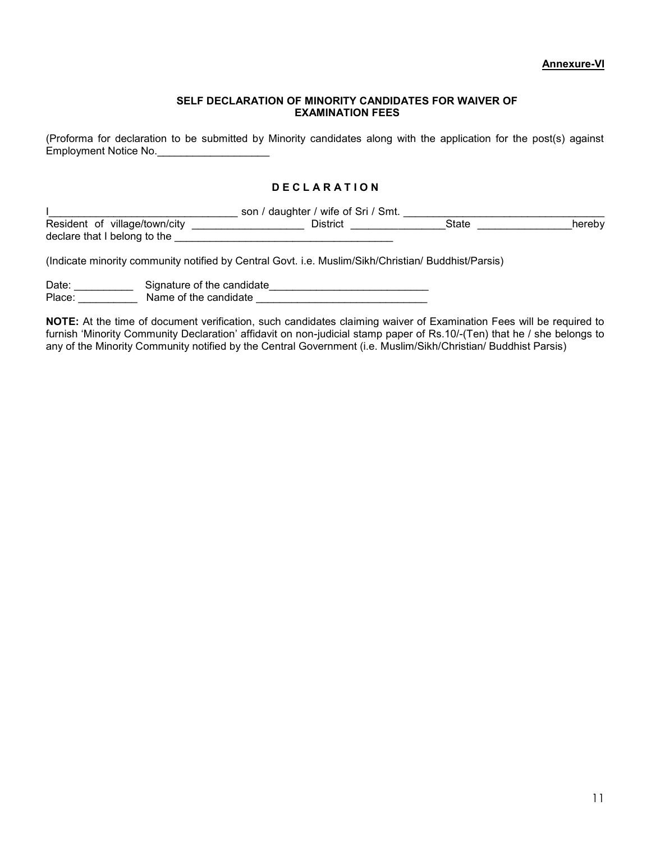#### **SELF DECLARATION OF MINORITY CANDIDATES FOR WAIVER OF EXAMINATION FEES**

(Proforma for declaration to be submitted by Minority candidates along with the application for the post(s) against Employment Notice No.

# **D E C L A R A T I O N**

|                                                                                                     | son / daughter / wife of Sri / Smt. |       |        |
|-----------------------------------------------------------------------------------------------------|-------------------------------------|-------|--------|
| Resident of village/town/city<br>declare that I belong to the                                       | District                            | State | hereby |
| (Indicate minority community notified by Central Govt. i.e. Muslim/Sikh/Christian/ Buddhist/Parsis) |                                     |       |        |

Date: \_\_\_\_\_\_\_\_\_\_\_\_\_\_Signature of the candidate \_\_\_\_\_\_\_\_\_\_\_\_\_\_\_\_\_\_\_\_\_\_\_\_\_\_\_\_\_\_\_\_\_

Place: \_\_\_\_\_\_\_\_\_\_ Name of the candidate \_\_\_\_\_\_\_\_\_\_\_\_\_\_\_\_\_\_\_\_\_\_\_\_\_\_\_\_\_

**NOTE:** At the time of document verification, such candidates claiming waiver of Examination Fees will be required to furnish 'Minority Community Declaration' affidavit on non-judicial stamp paper of Rs.10/-(Ten) that he / she belongs to any of the Minority Community notified by the Central Government (i.e. Muslim/Sikh/Christian/ Buddhist Parsis)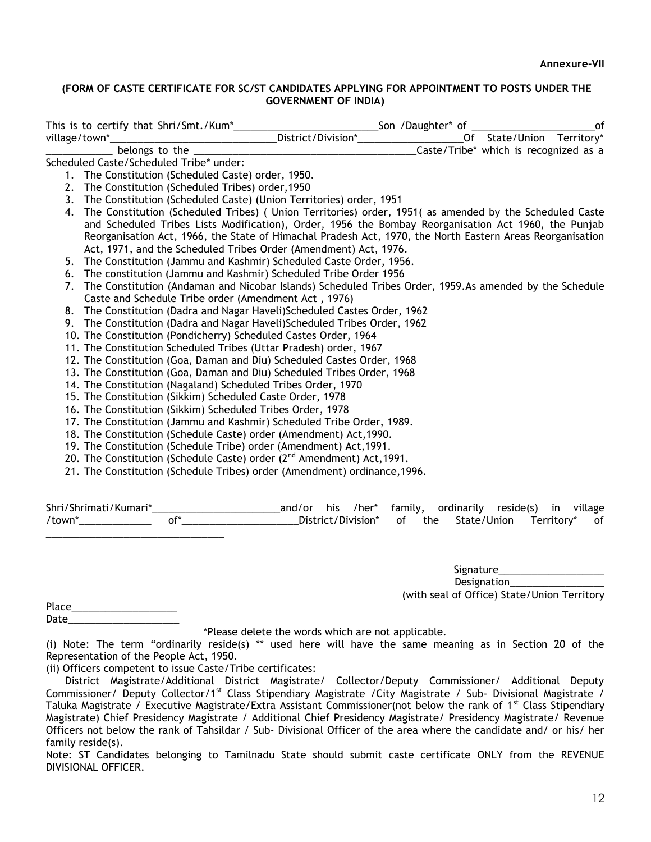# **(FORM OF CASTE CERTIFICATE FOR SC/ST CANDIDATES APPLYING FOR APPOINTMENT TO POSTS UNDER THE GOVERNMENT OF INDIA)**

|                  |                                         |                                                    |                                                                                                           | _Son /Daughter* of ___________ |                                       | of |
|------------------|-----------------------------------------|----------------------------------------------------|-----------------------------------------------------------------------------------------------------------|--------------------------------|---------------------------------------|----|
| village/town*___ |                                         |                                                    |                                                                                                           | Of State/Union Territory*      |                                       |    |
|                  | belongs to the                          |                                                    |                                                                                                           |                                | Caste/Tribe* which is recognized as a |    |
|                  | Scheduled Caste/Scheduled Tribe* under: |                                                    |                                                                                                           |                                |                                       |    |
|                  |                                         | 1. The Constitution (Scheduled Caste) order, 1950. |                                                                                                           |                                |                                       |    |
|                  |                                         | 2. The Constitution (Scheduled Tribes) order, 1950 |                                                                                                           |                                |                                       |    |
|                  |                                         |                                                    | 3. The Constitution (Scheduled Caste) (Union Territories) order, 1951                                     |                                |                                       |    |
| 4.               |                                         |                                                    | The Constitution (Scheduled Tribes) (Union Territories) order, 1951 (as amended by the Scheduled Caste    |                                |                                       |    |
|                  |                                         |                                                    | and Scheduled Tribes Lists Modification), Order, 1956 the Bombay Reorganisation Act 1960, the Punjab      |                                |                                       |    |
|                  |                                         |                                                    | Reorganisation Act, 1966, the State of Himachal Pradesh Act, 1970, the North Eastern Areas Reorganisation |                                |                                       |    |
|                  |                                         |                                                    | Act, 1971, and the Scheduled Tribes Order (Amendment) Act, 1976.                                          |                                |                                       |    |
|                  |                                         |                                                    | 5. The Constitution (Jammu and Kashmir) Scheduled Caste Order, 1956.                                      |                                |                                       |    |
|                  |                                         |                                                    | 6. The constitution (Jammu and Kashmir) Scheduled Tribe Order 1956                                        |                                |                                       |    |
| 7.               |                                         |                                                    | The Constitution (Andaman and Nicobar Islands) Scheduled Tribes Order, 1959. As amended by the Schedule   |                                |                                       |    |
|                  |                                         |                                                    | Caste and Schedule Tribe order (Amendment Act, 1976)                                                      |                                |                                       |    |
|                  |                                         |                                                    | 8. The Constitution (Dadra and Nagar Haveli) Scheduled Castes Order, 1962                                 |                                |                                       |    |
|                  |                                         |                                                    | 9. The Constitution (Dadra and Nagar Haveli) Scheduled Tribes Order, 1962                                 |                                |                                       |    |
|                  |                                         |                                                    | 10. The Constitution (Pondicherry) Scheduled Castes Order, 1964                                           |                                |                                       |    |
|                  |                                         |                                                    | 11. The Constitution Scheduled Tribes (Uttar Pradesh) order, 1967                                         |                                |                                       |    |
|                  |                                         |                                                    | 12. The Constitution (Goa, Daman and Diu) Scheduled Castes Order, 1968                                    |                                |                                       |    |
|                  |                                         |                                                    | 13. The Constitution (Goa, Daman and Diu) Scheduled Tribes Order, 1968                                    |                                |                                       |    |
|                  |                                         |                                                    | 14. The Constitution (Nagaland) Scheduled Tribes Order, 1970                                              |                                |                                       |    |
|                  |                                         |                                                    | 15. The Constitution (Sikkim) Scheduled Caste Order, 1978                                                 |                                |                                       |    |
|                  |                                         |                                                    | 16. The Constitution (Sikkim) Scheduled Tribes Order, 1978                                                |                                |                                       |    |
|                  |                                         |                                                    | 17. The Constitution (Jammu and Kashmir) Scheduled Tribe Order, 1989.                                     |                                |                                       |    |
|                  |                                         |                                                    | 18. The Constitution (Schedule Caste) order (Amendment) Act, 1990.                                        |                                |                                       |    |
|                  |                                         |                                                    | 19. The Constitution (Schedule Tribe) order (Amendment) Act, 1991.                                        |                                |                                       |    |
|                  |                                         |                                                    | 20. The Constitution (Schedule Caste) order $(2^{nd}$ Amendment) Act, 1991.                               |                                |                                       |    |
|                  |                                         |                                                    | 21. The Constitution (Schedule Tribes) order (Amendment) ordinance, 1996.                                 |                                |                                       |    |
|                  |                                         |                                                    |                                                                                                           |                                |                                       |    |

Shri/Shrimati/Kumari\*\_\_\_\_\_\_\_\_\_\_\_\_\_\_\_\_\_\_\_\_\_\_\_\_\_\_\_\_\_\_\_and/or his /her\* family, ordinarily reside(s) in village /town\*\_\_\_\_\_\_\_\_\_\_\_\_\_ of\*\_\_\_\_\_\_\_\_\_\_\_\_\_\_\_\_\_\_\_\_\_District/Division\* of the State/Union Territory\* of \_\_\_\_\_\_\_\_\_\_\_\_\_\_\_\_\_\_\_\_\_\_\_\_\_\_\_\_\_\_\_\_

> Signature<sub>\_\_\_\_\_\_\_\_\_\_\_\_</sub> Designation\_\_\_\_\_\_\_\_\_\_\_\_\_\_\_\_\_ (with seal of Office) State/Union Territory

Place\_\_\_\_\_\_\_\_\_\_\_\_\_\_\_\_\_\_\_ Date  $\Box$ 

\*Please delete the words which are not applicable.

(i) Note: The term "ordinarily reside(s) \*\* used here will have the same meaning as in Section 20 of the Representation of the People Act, 1950.

(ii) Officers competent to issue Caste/Tribe certificates:

 District Magistrate/Additional District Magistrate/ Collector/Deputy Commissioner/ Additional Deputy Commissioner/ Deputy Collector/1<sup>st</sup> Class Stipendiary Magistrate /City Magistrate / Sub- Divisional Magistrate / Taluka Magistrate / Executive Magistrate/Extra Assistant Commissioner(not below the rank of 1<sup>st</sup> Class Stipendiary Magistrate) Chief Presidency Magistrate / Additional Chief Presidency Magistrate/ Presidency Magistrate/ Revenue Officers not below the rank of Tahsildar / Sub- Divisional Officer of the area where the candidate and/ or his/ her family reside(s).

Note: ST Candidates belonging to Tamilnadu State should submit caste certificate ONLY from the REVENUE DIVISIONAL OFFICER.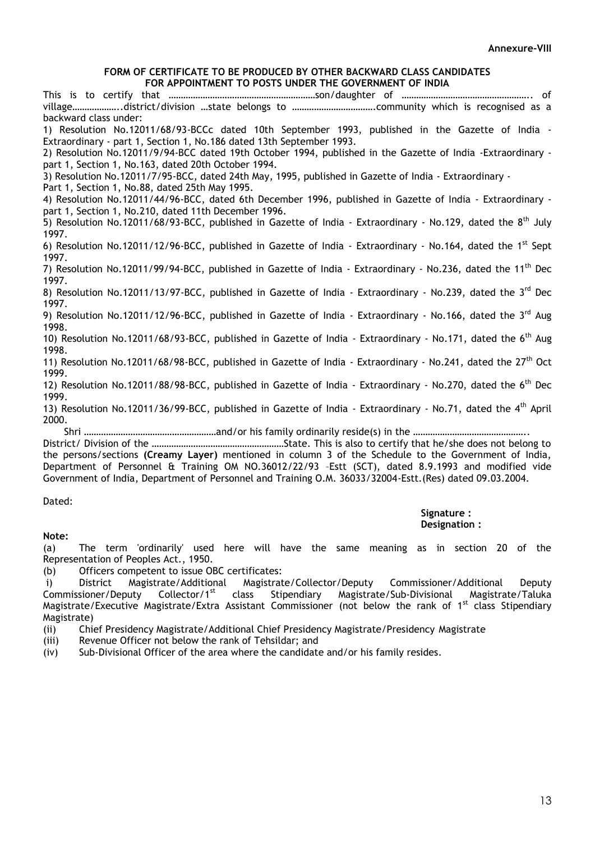#### **FORM OF CERTIFICATE TO BE PRODUCED BY OTHER BACKWARD CLASS CANDIDATES FOR APPOINTMENT TO POSTS UNDER THE GOVERNMENT OF INDIA**

This is to certify that ……………………………………………………son/daughter of …………………………………………….. of village………………..district/division …state belongs to …………………………….community which is recognised as a backward class under: 1) Resolution No.12011/68/93-BCCc dated 10th September 1993, published in the Gazette of India - Extraordinary - part 1, Section 1, No.186 dated 13th September 1993. 2) Resolution No.12011/9/94-BCC dated 19th October 1994, published in the Gazette of India -Extraordinary part 1, Section 1, No.163, dated 20th October 1994. 3) Resolution No.12011/7/95-BCC, dated 24th May, 1995, published in Gazette of India - Extraordinary - Part 1, Section 1, No.88, dated 25th May 1995. 4) Resolution No.12011/44/96-BCC, dated 6th December 1996, published in Gazette of India - Extraordinary part 1, Section 1, No.210, dated 11th December 1996. 5) Resolution No.12011/68/93-BCC, published in Gazette of India - Extraordinary - No.129, dated the 8<sup>th</sup> July 1997. 6) Resolution No.12011/12/96-BCC, published in Gazette of India - Extraordinary - No.164, dated the 1<sup>st</sup> Sept 1997. 7) Resolution No.12011/99/94-BCC, published in Gazette of India - Extraordinary - No.236, dated the 11<sup>th</sup> Dec 1997. 8) Resolution No.12011/13/97-BCC, published in Gazette of India - Extraordinary - No.239, dated the 3<sup>rd</sup> Dec 1997. 9) Resolution No.12011/12/96-BCC, published in Gazette of India - Extraordinary - No.166, dated the 3<sup>rd</sup> Aug 1998. 10) Resolution No.12011/68/93-BCC, published in Gazette of India - Extraordinary - No.171, dated the 6<sup>th</sup> Aug 1998. 11) Resolution No.12011/68/98-BCC, published in Gazette of India - Extraordinary - No.241, dated the 27<sup>th</sup> Oct 1999. 12) Resolution No.12011/88/98-BCC, published in Gazette of India - Extraordinary - No.270, dated the 6<sup>th</sup> Dec 1999. 13) Resolution No.12011/36/99-BCC, published in Gazette of India - Extraordinary - No.71, dated the 4<sup>th</sup> April 2000. Shri ………………………………………………and/or his family ordinarily reside(s) in the ……………………………………….. District/ Division of the ………………………………………………State. This is also to certify that he/she does not belong to

the persons/sections **(Creamy Layer)** mentioned in column 3 of the Schedule to the Government of India, Department of Personnel & Training OM NO.36012/22/93 –Estt (SCT), dated 8.9.1993 and modified vide Government of India, Department of Personnel and Training O.M. 36033/32004-Estt.(Res) dated 09.03.2004.

#### Dated:

**Note:** 

#### **Signature : Designation :**

(a) The term 'ordinarily' used here will have the same meaning as in section 20 of the Representation of Peoples Act., 1950.

(b) Officers competent to issue OBC certificates:

i) District Magistrate/Additional Magistrate/Collector/Deputy Commissioner/Additional Deputy<br>Commissioner/Deputy Collector/1<sup>st</sup> class Stipendiary Magistrate/Sub-Divisional Magistrate/Taluka Stipendiary Magistrate/Sub-Divisional Magistrate/Taluka Magistrate/Executive Magistrate/Extra Assistant Commissioner (not below the rank of  $1<sup>st</sup>$  class Stipendiary Magistrate)

(ii) Chief Presidency Magistrate/Additional Chief Presidency Magistrate/Presidency Magistrate

(iii) Revenue Officer not below the rank of Tehsildar; and

(iv) Sub-Divisional Officer of the area where the candidate and/or his family resides.